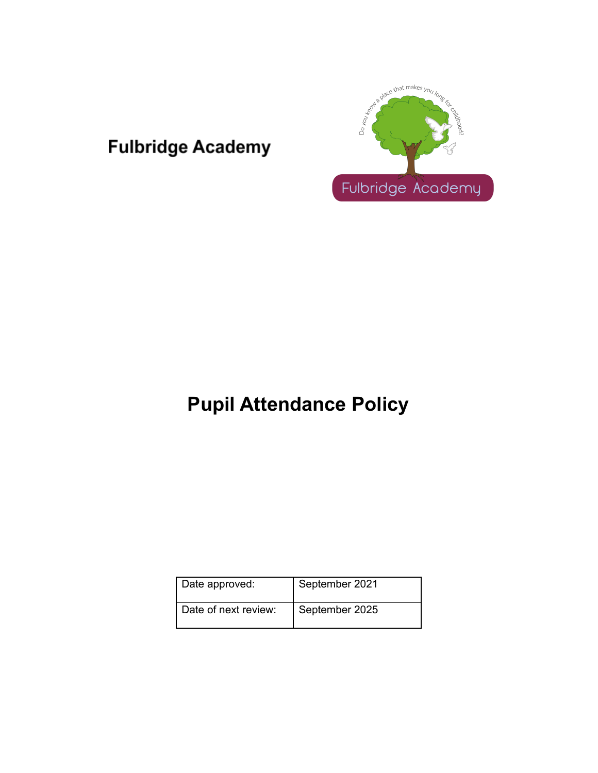# **Fulbridge Academy**



# **Pupil Attendance Policy**

| Date approved:       | September 2021 |
|----------------------|----------------|
| Date of next review: | September 2025 |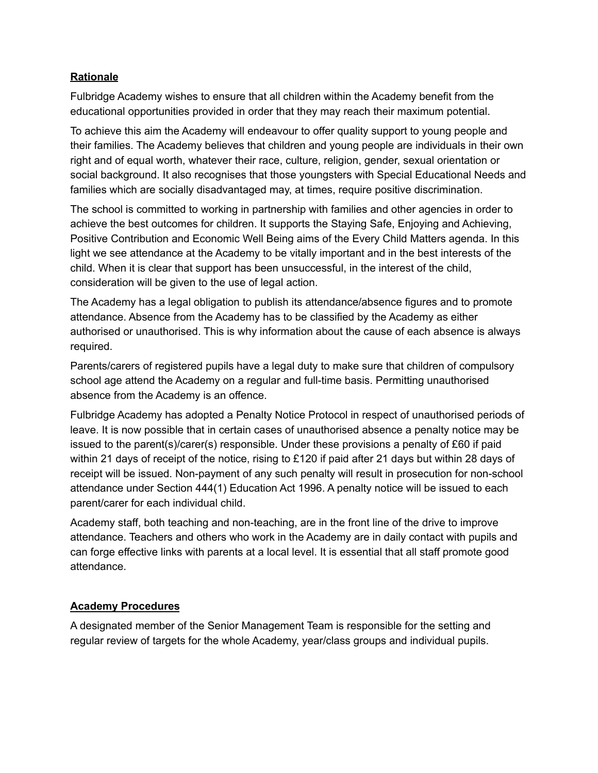#### **Rationale**

Fulbridge Academy wishes to ensure that all children within the Academy benefit from the educational opportunities provided in order that they may reach their maximum potential.

To achieve this aim the Academy will endeavour to offer quality support to young people and their families. The Academy believes that children and young people are individuals in their own right and of equal worth, whatever their race, culture, religion, gender, sexual orientation or social background. It also recognises that those youngsters with Special Educational Needs and families which are socially disadvantaged may, at times, require positive discrimination.

The school is committed to working in partnership with families and other agencies in order to achieve the best outcomes for children. It supports the Staying Safe, Enjoying and Achieving, Positive Contribution and Economic Well Being aims of the Every Child Matters agenda. In this light we see attendance at the Academy to be vitally important and in the best interests of the child. When it is clear that support has been unsuccessful, in the interest of the child, consideration will be given to the use of legal action.

The Academy has a legal obligation to publish its attendance/absence figures and to promote attendance. Absence from the Academy has to be classified by the Academy as either authorised or unauthorised. This is why information about the cause of each absence is always required.

Parents/carers of registered pupils have a legal duty to make sure that children of compulsory school age attend the Academy on a regular and full-time basis. Permitting unauthorised absence from the Academy is an offence.

Fulbridge Academy has adopted a Penalty Notice Protocol in respect of unauthorised periods of leave. It is now possible that in certain cases of unauthorised absence a penalty notice may be issued to the parent(s)/carer(s) responsible. Under these provisions a penalty of £60 if paid within 21 days of receipt of the notice, rising to £120 if paid after 21 days but within 28 days of receipt will be issued. Non-payment of any such penalty will result in prosecution for non-school attendance under Section 444(1) Education Act 1996. A penalty notice will be issued to each parent/carer for each individual child.

Academy staff, both teaching and non-teaching, are in the front line of the drive to improve attendance. Teachers and others who work in the Academy are in daily contact with pupils and can forge effective links with parents at a local level. It is essential that all staff promote good attendance.

# **Academy Procedures**

A designated member of the Senior Management Team is responsible for the setting and regular review of targets for the whole Academy, year/class groups and individual pupils.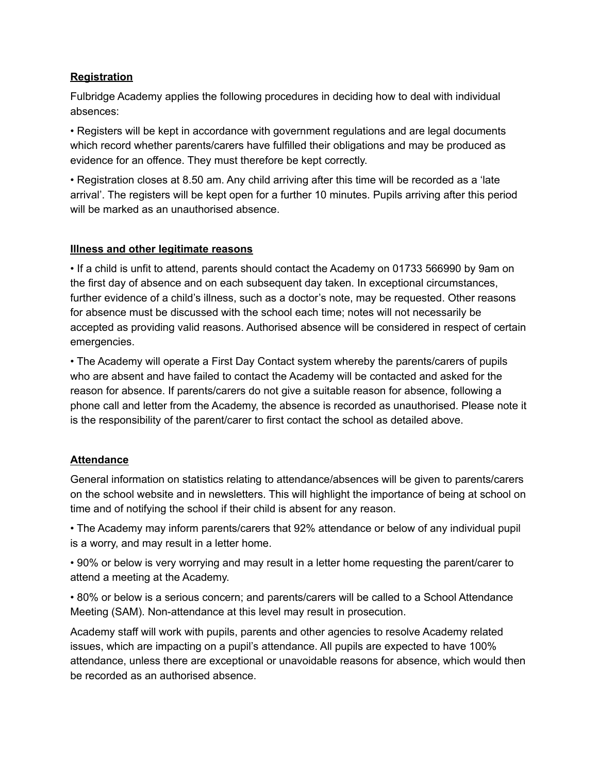# **Registration**

Fulbridge Academy applies the following procedures in deciding how to deal with individual absences:

• Registers will be kept in accordance with government regulations and are legal documents which record whether parents/carers have fulfilled their obligations and may be produced as evidence for an offence. They must therefore be kept correctly.

• Registration closes at 8.50 am. Any child arriving after this time will be recorded as a 'late arrival'. The registers will be kept open for a further 10 minutes. Pupils arriving after this period will be marked as an unauthorised absence.

#### **Illness and other legitimate reasons**

• If a child is unfit to attend, parents should contact the Academy on 01733 566990 by 9am on the first day of absence and on each subsequent day taken. In exceptional circumstances, further evidence of a child's illness, such as a doctor's note, may be requested. Other reasons for absence must be discussed with the school each time; notes will not necessarily be accepted as providing valid reasons. Authorised absence will be considered in respect of certain emergencies.

• The Academy will operate a First Day Contact system whereby the parents/carers of pupils who are absent and have failed to contact the Academy will be contacted and asked for the reason for absence. If parents/carers do not give a suitable reason for absence, following a phone call and letter from the Academy, the absence is recorded as unauthorised. Please note it is the responsibility of the parent/carer to first contact the school as detailed above.

# **Attendance**

General information on statistics relating to attendance/absences will be given to parents/carers on the school website and in newsletters. This will highlight the importance of being at school on time and of notifying the school if their child is absent for any reason.

• The Academy may inform parents/carers that 92% attendance or below of any individual pupil is a worry, and may result in a letter home.

• 90% or below is very worrying and may result in a letter home requesting the parent/carer to attend a meeting at the Academy.

• 80% or below is a serious concern; and parents/carers will be called to a School Attendance Meeting (SAM). Non-attendance at this level may result in prosecution.

Academy staff will work with pupils, parents and other agencies to resolve Academy related issues, which are impacting on a pupil's attendance. All pupils are expected to have 100% attendance, unless there are exceptional or unavoidable reasons for absence, which would then be recorded as an authorised absence.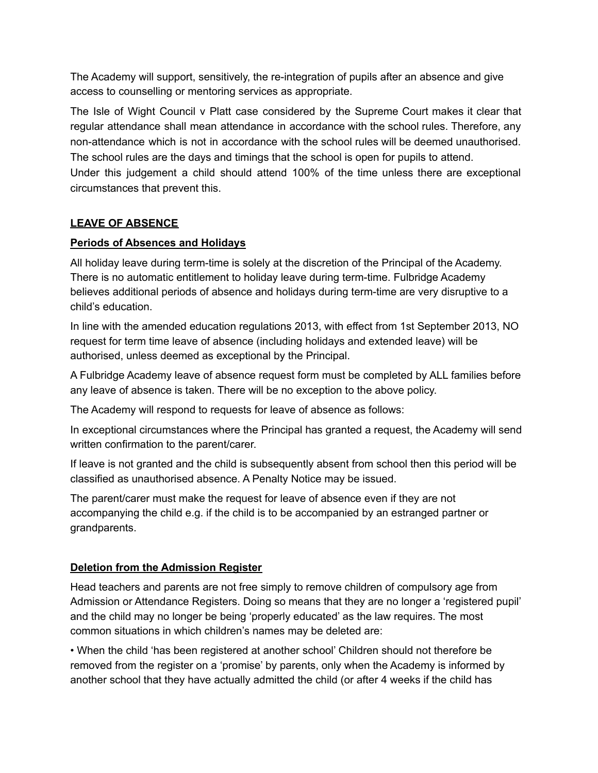The Academy will support, sensitively, the re-integration of pupils after an absence and give access to counselling or mentoring services as appropriate.

The Isle of Wight Council v Platt case considered by the Supreme Court makes it clear that regular attendance shall mean attendance in accordance with the school rules. Therefore, any non-attendance which is not in accordance with the school rules will be deemed unauthorised. The school rules are the days and timings that the school is open for pupils to attend. Under this judgement a child should attend 100% of the time unless there are exceptional circumstances that prevent this.

# **LEAVE OF ABSENCE**

#### **Periods of Absences and Holidays**

All holiday leave during term-time is solely at the discretion of the Principal of the Academy. There is no automatic entitlement to holiday leave during term-time. Fulbridge Academy believes additional periods of absence and holidays during term-time are very disruptive to a child's education.

In line with the amended education regulations 2013, with effect from 1st September 2013, NO request for term time leave of absence (including holidays and extended leave) will be authorised, unless deemed as exceptional by the Principal.

A Fulbridge Academy leave of absence request form must be completed by ALL families before any leave of absence is taken. There will be no exception to the above policy.

The Academy will respond to requests for leave of absence as follows:

In exceptional circumstances where the Principal has granted a request, the Academy will send written confirmation to the parent/carer.

If leave is not granted and the child is subsequently absent from school then this period will be classified as unauthorised absence. A Penalty Notice may be issued.

The parent/carer must make the request for leave of absence even if they are not accompanying the child e.g. if the child is to be accompanied by an estranged partner or grandparents.

# **Deletion from the Admission Register**

Head teachers and parents are not free simply to remove children of compulsory age from Admission or Attendance Registers. Doing so means that they are no longer a 'registered pupil' and the child may no longer be being 'properly educated' as the law requires. The most common situations in which children's names may be deleted are:

• When the child 'has been registered at another school' Children should not therefore be removed from the register on a 'promise' by parents, only when the Academy is informed by another school that they have actually admitted the child (or after 4 weeks if the child has